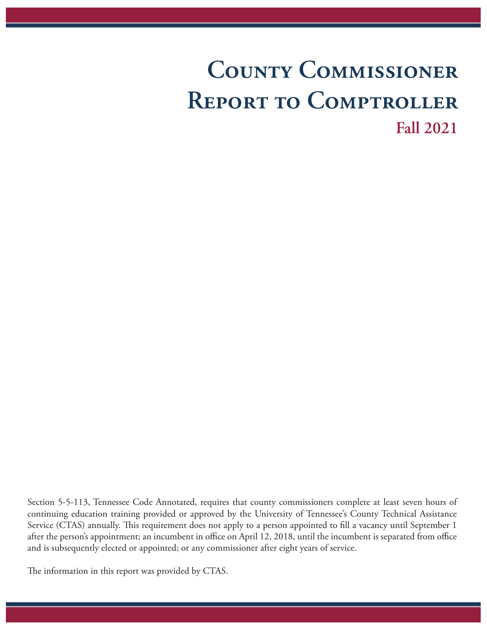## **County Commissioner Report to Comptroller Fall 2021**

Section 5-5-113, Tennessee Code Annotated, requires that county commissioners complete at least seven hours of continuing education training provided or approved by the University of Tennessee's County Technical Assistance Service (CTAS) annually. This requirement does not apply to a person appointed to fill a vacancy until September 1 after the person's appointment; an incumbent in office on April 12, 2018, until the incumbent is separated from office and is subsequently elected or appointed; or any commissioner after eight years of service.

The information in this report was provided by CTAS.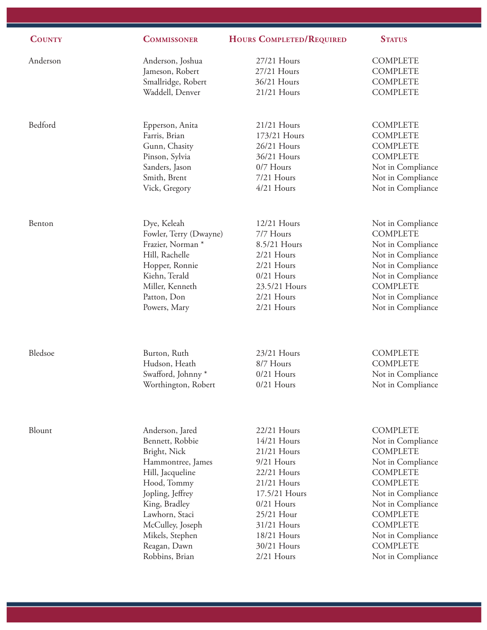| <b>COUNTY</b> | <b>COMMISSONER</b>           | <b>HOURS COMPLETED/REQUIRED</b> | <b>STATUS</b>     |
|---------------|------------------------------|---------------------------------|-------------------|
| Anderson      | Anderson, Joshua             | 27/21 Hours                     | <b>COMPLETE</b>   |
|               | Jameson, Robert              | 27/21 Hours                     | <b>COMPLETE</b>   |
|               | Smallridge, Robert           | 36/21 Hours                     | <b>COMPLETE</b>   |
|               | Waddell, Denver              | 21/21 Hours                     | <b>COMPLETE</b>   |
| Bedford       | Epperson, Anita              | 21/21 Hours                     | <b>COMPLETE</b>   |
|               | Farris, Brian                | 173/21 Hours                    | <b>COMPLETE</b>   |
|               | Gunn, Chasity                | 26/21 Hours                     | <b>COMPLETE</b>   |
|               | Pinson, Sylvia               | 36/21 Hours                     | <b>COMPLETE</b>   |
|               | Sanders, Jason               | 0/7 Hours                       | Not in Compliance |
|               | Smith, Brent                 | 7/21 Hours                      | Not in Compliance |
|               | Vick, Gregory                | 4/21 Hours                      | Not in Compliance |
| Benton        | Dye, Keleah                  | 12/21 Hours                     | Not in Compliance |
|               | Fowler, Terry (Dwayne)       | 7/7 Hours                       | <b>COMPLETE</b>   |
|               | Frazier, Norman <sup>*</sup> | 8.5/21 Hours                    | Not in Compliance |
|               | Hill, Rachelle               | 2/21 Hours                      | Not in Compliance |
|               | Hopper, Ronnie               | 2/21 Hours                      | Not in Compliance |
|               | Kiehn, Terald                | $0/21$ Hours                    | Not in Compliance |
|               | Miller, Kenneth              | 23.5/21 Hours                   | <b>COMPLETE</b>   |
|               | Patton, Don                  | 2/21 Hours                      | Not in Compliance |
|               | Powers, Mary                 | 2/21 Hours                      | Not in Compliance |
| Bledsoe       | Burton, Ruth                 | 23/21 Hours                     | <b>COMPLETE</b>   |
|               | Hudson, Heath                | 8/7 Hours                       | <b>COMPLETE</b>   |
|               | Swafford, Johnny*            | $0/21$ Hours                    | Not in Compliance |
|               | Worthington, Robert          | $0/21$ Hours                    | Not in Compliance |
| Blount        | Anderson, Jared              | 22/21 Hours                     | <b>COMPLETE</b>   |
|               | Bennett, Robbie              | 14/21 Hours                     | Not in Compliance |
|               | Bright, Nick                 | 21/21 Hours                     | <b>COMPLETE</b>   |
|               | Hammontree, James            | 9/21 Hours                      | Not in Compliance |
|               | Hill, Jacqueline             | 22/21 Hours                     | <b>COMPLETE</b>   |
|               | Hood, Tommy                  | 21/21 Hours                     | <b>COMPLETE</b>   |
|               | Jopling, Jeffrey             | 17.5/21 Hours                   | Not in Compliance |
|               | King, Bradley                | $0/21$ Hours                    | Not in Compliance |
|               | Lawhorn, Staci               | 25/21 Hour                      | <b>COMPLETE</b>   |
|               | McCulley, Joseph             | 31/21 Hours                     | <b>COMPLETE</b>   |
|               | Mikels, Stephen              | 18/21 Hours                     | Not in Compliance |
|               | Reagan, Dawn                 | 30/21 Hours                     | <b>COMPLETE</b>   |
|               | Robbins, Brian               | 2/21 Hours                      | Not in Compliance |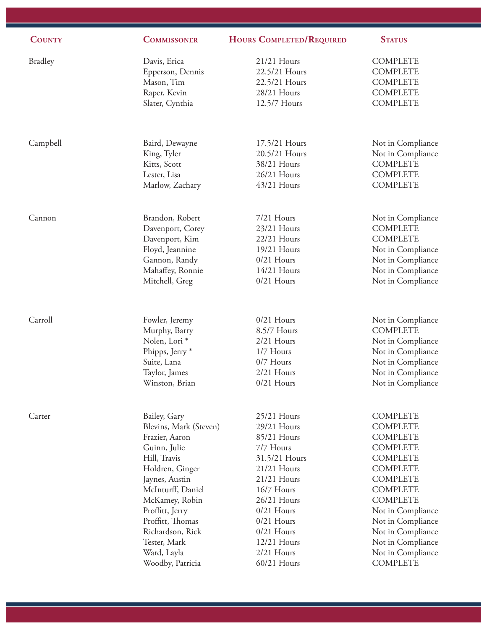| <b>COUNTY</b>  | <b>COMMISSONER</b>         | HOURS COMPLETED/REQUIRED | <b>STATUS</b>     |
|----------------|----------------------------|--------------------------|-------------------|
| <b>Bradley</b> | Davis, Erica               | 21/21 Hours              | <b>COMPLETE</b>   |
|                | Epperson, Dennis           | 22.5/21 Hours            | <b>COMPLETE</b>   |
|                | Mason, Tim                 | 22.5/21 Hours            | <b>COMPLETE</b>   |
|                | Raper, Kevin               | 28/21 Hours              | <b>COMPLETE</b>   |
|                | Slater, Cynthia            | 12.5/7 Hours             | <b>COMPLETE</b>   |
| Campbell       | Baird, Dewayne             | 17.5/21 Hours            | Not in Compliance |
|                | King, Tyler                | 20.5/21 Hours            | Not in Compliance |
|                | Kitts, Scott               | 38/21 Hours              | <b>COMPLETE</b>   |
|                | Lester, Lisa               | 26/21 Hours              | <b>COMPLETE</b>   |
|                | Marlow, Zachary            | 43/21 Hours              | <b>COMPLETE</b>   |
| Cannon         | Brandon, Robert            | 7/21 Hours               | Not in Compliance |
|                | Davenport, Corey           | 23/21 Hours              | <b>COMPLETE</b>   |
|                | Davenport, Kim             | 22/21 Hours              | <b>COMPLETE</b>   |
|                | Floyd, Jeannine            | 19/21 Hours              | Not in Compliance |
|                | Gannon, Randy              | $0/21$ Hours             | Not in Compliance |
|                | Mahaffey, Ronnie           | 14/21 Hours              | Not in Compliance |
|                | Mitchell, Greg             | $0/21$ Hours             | Not in Compliance |
| Carroll        | Fowler, Jeremy             | $0/21$ Hours             | Not in Compliance |
|                | Murphy, Barry              | 8.5/7 Hours              | <b>COMPLETE</b>   |
|                | Nolen, Lori <sup>*</sup>   | $2/21$ Hours             | Not in Compliance |
|                | Phipps, Jerry <sup>*</sup> | 1/7 Hours                | Not in Compliance |
|                | Suite, Lana                | 0/7 Hours                | Not in Compliance |
|                | Taylor, James              | 2/21 Hours               | Not in Compliance |
|                | Winston, Brian             | $0/21$ Hours             | Not in Compliance |
| Carter         | Bailey, Gary               | 25/21 Hours              | <b>COMPLETE</b>   |
|                | Blevins, Mark (Steven)     | 29/21 Hours              | <b>COMPLETE</b>   |
|                | Frazier, Aaron             | 85/21 Hours              | <b>COMPLETE</b>   |
|                | Guinn, Julie               | 7/7 Hours                | <b>COMPLETE</b>   |
|                | Hill, Travis               | 31.5/21 Hours            | <b>COMPLETE</b>   |
|                | Holdren, Ginger            | 21/21 Hours              | <b>COMPLETE</b>   |
|                | Jaynes, Austin             | 21/21 Hours              | <b>COMPLETE</b>   |
|                | McInturff, Daniel          | 16/7 Hours               | <b>COMPLETE</b>   |
|                | McKamey, Robin             | 26/21 Hours              | <b>COMPLETE</b>   |
|                | Proffitt, Jerry            | $0/21$ Hours             | Not in Compliance |
|                | Proffitt, Thomas           | $0/21$ Hours             | Not in Compliance |
|                | Richardson, Rick           | $0/21$ Hours             | Not in Compliance |
|                | Tester, Mark               | 12/21 Hours              | Not in Compliance |
|                | Ward, Layla                | 2/21 Hours               | Not in Compliance |
|                | Woodby, Patricia           | 60/21 Hours              | <b>COMPLETE</b>   |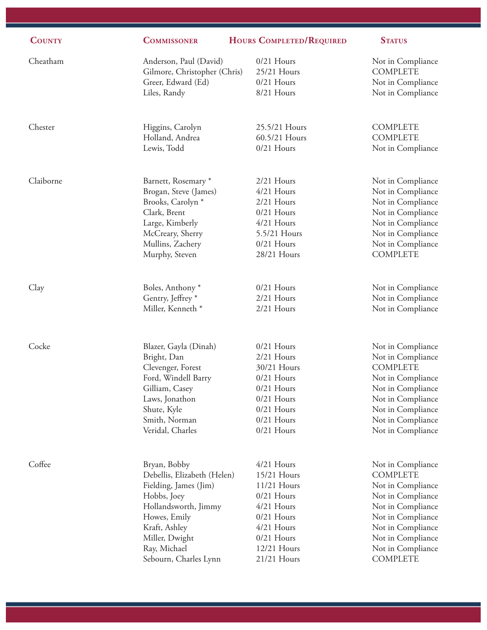| <b>COUNTY</b> | <b>COMMISSONER</b>           | HOURS COMPLETED/REQUIRED | <b>STATUS</b>     |
|---------------|------------------------------|--------------------------|-------------------|
| Cheatham      | Anderson, Paul (David)       | $0/21$ Hours             | Not in Compliance |
|               | Gilmore, Christopher (Chris) | 25/21 Hours              | <b>COMPLETE</b>   |
|               | Greer, Edward (Ed)           | $0/21$ Hours             | Not in Compliance |
|               | Liles, Randy                 | 8/21 Hours               | Not in Compliance |
| Chester       | Higgins, Carolyn             | 25.5/21 Hours            | <b>COMPLETE</b>   |
|               | Holland, Andrea              | 60.5/21 Hours            | <b>COMPLETE</b>   |
|               | Lewis, Todd                  | $0/21$ Hours             | Not in Compliance |
| Claiborne     | Barnett, Rosemary*           | 2/21 Hours               | Not in Compliance |
|               | Brogan, Steve (James)        | 4/21 Hours               | Not in Compliance |
|               | Brooks, Carolyn <sup>*</sup> | 2/21 Hours               | Not in Compliance |
|               | Clark, Brent                 | $0/21$ Hours             | Not in Compliance |
|               | Large, Kimberly              | $4/21$ Hours             | Not in Compliance |
|               | McCreary, Sherry             | 5.5/21 Hours             | Not in Compliance |
|               | Mullins, Zachery             | $0/21$ Hours             | Not in Compliance |
|               | Murphy, Steven               | 28/21 Hours              | <b>COMPLETE</b>   |
| Clay          | Boles, Anthony <sup>*</sup>  | $0/21$ Hours             | Not in Compliance |
|               | Gentry, Jeffrey <sup>*</sup> | 2/21 Hours               | Not in Compliance |
|               | Miller, Kenneth *            | 2/21 Hours               | Not in Compliance |
| Cocke         | Blazer, Gayla (Dinah)        | $0/21$ Hours             | Not in Compliance |
|               | Bright, Dan                  | 2/21 Hours               | Not in Compliance |
|               | Clevenger, Forest            | 30/21 Hours              | <b>COMPLETE</b>   |
|               | Ford, Windell Barry          | $0/21$ Hours             | Not in Compliance |
|               | Gilliam, Casey               | $0/21$ Hours             | Not in Compliance |
|               | Laws, Jonathon               | $0/21$ Hours             | Not in Compliance |
|               | Shute, Kyle                  | $0/21$ Hours             | Not in Compliance |
|               | Smith, Norman                | $0/21$ Hours             | Not in Compliance |
|               | Veridal, Charles             | $0/21$ Hours             | Not in Compliance |
| Coffee        | Bryan, Bobby                 | 4/21 Hours               | Not in Compliance |
|               | Debellis, Elizabeth (Helen)  | 15/21 Hours              | <b>COMPLETE</b>   |
|               | Fielding, James (Jim)        | 11/21 Hours              | Not in Compliance |
|               | Hobbs, Joey                  | $0/21$ Hours             | Not in Compliance |
|               | Hollandsworth, Jimmy         | 4/21 Hours               | Not in Compliance |
|               | Howes, Emily                 | $0/21$ Hours             | Not in Compliance |
|               | Kraft, Ashley                | 4/21 Hours               | Not in Compliance |
|               | Miller, Dwight               | $0/21$ Hours             | Not in Compliance |
|               | Ray, Michael                 | 12/21 Hours              | Not in Compliance |
|               | Sebourn, Charles Lynn        | 21/21 Hours              | <b>COMPLETE</b>   |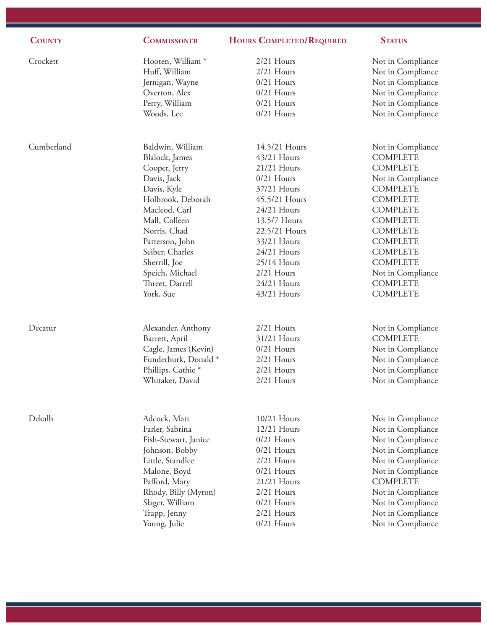| <b>COUNTY</b> | <b>COMMISSONER</b>                    | <b>HOURS COMPLETED/REQUIRED</b> | <b>STATUS</b>                        |
|---------------|---------------------------------------|---------------------------------|--------------------------------------|
| Crockett      | Hooten, William <sup>*</sup>          | $2/21$ Hours                    | Not in Compliance                    |
|               | Huff, William                         | $2/21$ Hours                    | Not in Compliance                    |
|               | Jernigan, Wayne                       | $0/21$ Hours                    | Not in Compliance                    |
|               | Overton, Alex                         | $0/21$ Hours                    | Not in Compliance                    |
|               | Perry, William                        | $0/21$ Hours                    | Not in Compliance                    |
|               | Woods, Lee                            | $0/21$ Hours                    | Not in Compliance                    |
| Cumberland    | Baldwin, William                      | 14.5/21 Hours                   | Not in Compliance                    |
|               | Blalock, James                        | 43/21 Hours                     | <b>COMPLETE</b>                      |
|               | Cooper, Jerry                         | 21/21 Hours                     | <b>COMPLETE</b>                      |
|               | Davis, Jack                           | $0/21$ Hours                    | Not in Compliance                    |
|               | Davis, Kyle                           | 37/21 Hours                     | <b>COMPLETE</b>                      |
|               | Holbrook, Deborah                     | 45.5/21 Hours                   | <b>COMPLETE</b>                      |
|               | Macleod, Carl                         | 24/21 Hours                     | <b>COMPLETE</b>                      |
|               | Mall, Colleen                         | 13.5/7 Hours                    | <b>COMPLETE</b>                      |
|               | Norris, Chad                          | 22.5/21 Hours                   | <b>COMPLETE</b>                      |
|               | Patterson, John                       | 33/21 Hours                     | <b>COMPLETE</b>                      |
|               | Seiber, Charles                       | 24/21 Hours                     | <b>COMPLETE</b>                      |
|               | Sherrill, Joe                         | 25/14 Hours                     | <b>COMPLETE</b>                      |
|               | Speich, Michael                       | 2/21 Hours                      | Not in Compliance                    |
|               | Threet, Darrell                       | 24/21 Hours                     | <b>COMPLETE</b>                      |
|               | York, Sue                             | 43/21 Hours                     | <b>COMPLETE</b>                      |
| Decatur       | Alexander, Anthony                    | 2/21 Hours                      | Not in Compliance                    |
|               | Barrett, April                        | 31/21 Hours                     | <b>COMPLETE</b>                      |
|               | Cagle, James (Kevin)                  | $0/21$ Hours                    | Not in Compliance                    |
|               | Funderburk, Donald *                  | 2/21 Hours                      | Not in Compliance                    |
|               | Phillips, Cathie <sup>*</sup>         | 2/21 Hours                      | Not in Compliance                    |
|               | Whitaker, David                       | $2/21$ Hours                    | Not in Compliance                    |
|               |                                       |                                 |                                      |
| Dekalb        | Adcock, Matt                          | 10/21 Hours                     | Not in Compliance                    |
|               | Farler, Sabrina                       | $12/21$ Hours                   | Not in Compliance                    |
|               | Fish-Stewart, Janice                  | $0/21$ Hours                    | Not in Compliance                    |
|               | Johnson, Bobby                        | $0/21$ Hours                    | Not in Compliance                    |
|               | Little, Standlee                      | $2/21$ Hours<br>$0/21$ Hours    | Not in Compliance                    |
|               | Malone, Boyd                          | 21/21 Hours                     | Not in Compliance<br><b>COMPLETE</b> |
|               | Pafford, Mary<br>Rhody, Billy (Myron) | $2/21$ Hours                    | Not in Compliance                    |
|               | Slager, William                       | $0/21$ Hours                    | Not in Compliance                    |
|               | Trapp, Jenny                          | $2/21$ Hours                    | Not in Compliance                    |
|               | Young, Julie                          | $0/21$ Hours                    | Not in Compliance                    |
|               |                                       |                                 |                                      |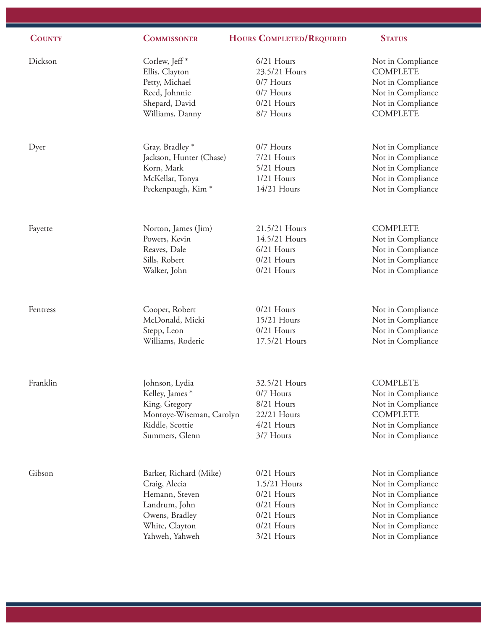| <b>COUNTY</b> | <b>COMMISSONER</b>            | <b>HOURS COMPLETED/REQUIRED</b> | <b>STATUS</b>     |
|---------------|-------------------------------|---------------------------------|-------------------|
| Dickson       | Corlew, Jeff <sup>*</sup>     | 6/21 Hours                      | Not in Compliance |
|               | Ellis, Clayton                | 23.5/21 Hours                   | <b>COMPLETE</b>   |
|               | Petty, Michael                | 0/7 Hours                       | Not in Compliance |
|               | Reed, Johnnie                 | 0/7 Hours                       | Not in Compliance |
|               | Shepard, David                | $0/21$ Hours                    | Not in Compliance |
|               | Williams, Danny               | 8/7 Hours                       | <b>COMPLETE</b>   |
| Dyer          | Gray, Bradley *               | 0/7 Hours                       | Not in Compliance |
|               | Jackson, Hunter (Chase)       | 7/21 Hours                      | Not in Compliance |
|               | Korn, Mark                    | 5/21 Hours                      | Not in Compliance |
|               | McKellar, Tonya               | $1/21$ Hours                    | Not in Compliance |
|               | Peckenpaugh, Kim <sup>*</sup> | 14/21 Hours                     | Not in Compliance |
| Fayette       | Norton, James (Jim)           | 21.5/21 Hours                   | <b>COMPLETE</b>   |
|               | Powers, Kevin                 | 14.5/21 Hours                   | Not in Compliance |
|               | Reaves, Dale                  | 6/21 Hours                      | Not in Compliance |
|               | Sills, Robert                 | $0/21$ Hours                    | Not in Compliance |
|               | Walker, John                  | $0/21$ Hours                    | Not in Compliance |
| Fentress      | Cooper, Robert                | $0/21$ Hours                    | Not in Compliance |
|               | McDonald, Micki               | 15/21 Hours                     | Not in Compliance |
|               | Stepp, Leon                   | $0/21$ Hours                    | Not in Compliance |
|               | Williams, Roderic             | 17.5/21 Hours                   | Not in Compliance |
| Franklin      | Johnson, Lydia                | 32.5/21 Hours                   | <b>COMPLETE</b>   |
|               | Kelley, James *               | 0/7 Hours                       | Not in Compliance |
|               | King, Gregory                 | 8/21 Hours                      | Not in Compliance |
|               | Montoye-Wiseman, Carolyn      | 22/21 Hours                     | <b>COMPLETE</b>   |
|               | Riddle, Scottie               | 4/21 Hours                      | Not in Compliance |
|               | Summers, Glenn                | 3/7 Hours                       | Not in Compliance |
| Gibson        | Barker, Richard (Mike)        | $0/21$ Hours                    | Not in Compliance |
|               | Craig, Alecia                 | 1.5/21 Hours                    | Not in Compliance |
|               | Hemann, Steven                | $0/21$ Hours                    | Not in Compliance |
|               | Landrum, John                 | $0/21$ Hours                    | Not in Compliance |
|               | Owens, Bradley                | $0/21$ Hours                    | Not in Compliance |
|               | White, Clayton                | $0/21$ Hours                    | Not in Compliance |
|               | Yahweh, Yahweh                | 3/21 Hours                      | Not in Compliance |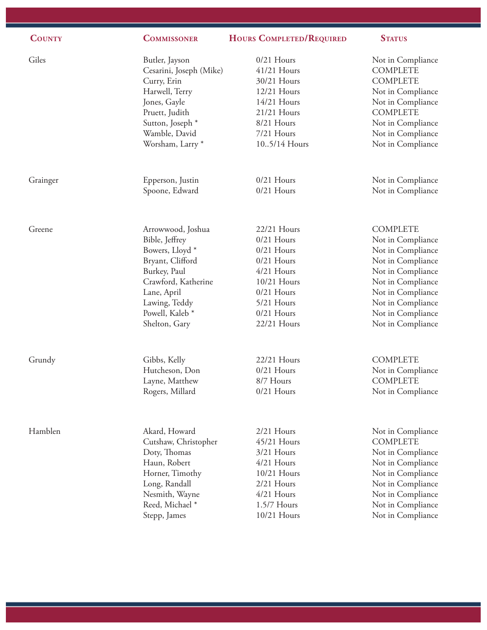| <b>COUNTY</b> | <b>COMMISSONER</b>         | <b>HOURS COMPLETED/REQUIRED</b> | <b>STATUS</b>     |
|---------------|----------------------------|---------------------------------|-------------------|
| Giles         | Butler, Jayson             | $0/21$ Hours                    | Not in Compliance |
|               | Cesarini, Joseph (Mike)    | 41/21 Hours                     | <b>COMPLETE</b>   |
|               | Curry, Erin                | 30/21 Hours                     | <b>COMPLETE</b>   |
|               | Harwell, Terry             | 12/21 Hours                     | Not in Compliance |
|               | Jones, Gayle               | 14/21 Hours                     | Not in Compliance |
|               | Pruett, Judith             | 21/21 Hours                     | <b>COMPLETE</b>   |
|               | Sutton, Joseph *           | 8/21 Hours                      | Not in Compliance |
|               | Wamble, David              | 7/21 Hours                      | Not in Compliance |
|               | Worsham, Larry *           | 105/14 Hours                    | Not in Compliance |
| Grainger      | Epperson, Justin           | $0/21$ Hours                    | Not in Compliance |
|               | Spoone, Edward             | $0/21$ Hours                    | Not in Compliance |
| Greene        | Arrowwood, Joshua          | 22/21 Hours                     | <b>COMPLETE</b>   |
|               | Bible, Jeffrey             | $0/21$ Hours                    | Not in Compliance |
|               | Bowers, Lloyd <sup>*</sup> | $0/21$ Hours                    | Not in Compliance |
|               | Bryant, Clifford           | $0/21$ Hours                    | Not in Compliance |
|               | Burkey, Paul               | $4/21$ Hours                    | Not in Compliance |
|               | Crawford, Katherine        | 10/21 Hours                     | Not in Compliance |
|               | Lane, April                | $0/21$ Hours                    | Not in Compliance |
|               | Lawing, Teddy              | 5/21 Hours                      | Not in Compliance |
|               | Powell, Kaleb *            | $0/21$ Hours                    | Not in Compliance |
|               | Shelton, Gary              | 22/21 Hours                     | Not in Compliance |
| Grundy        | Gibbs, Kelly               | 22/21 Hours                     | <b>COMPLETE</b>   |
|               | Hutcheson, Don             | 0/21 Hours                      | Not in Compliance |
|               | Layne, Matthew             | 8/7 Hours                       | <b>COMPLETE</b>   |
|               | Rogers, Millard            | $0/21$ Hours                    | Not in Compliance |
| Hamblen       | Akard, Howard              | 2/21 Hours                      | Not in Compliance |
|               | Cutshaw, Christopher       | 45/21 Hours                     | <b>COMPLETE</b>   |
|               | Doty, Thomas               | 3/21 Hours                      | Not in Compliance |
|               | Haun, Robert               | $4/21$ Hours                    | Not in Compliance |
|               | Horner, Timothy            | 10/21 Hours                     | Not in Compliance |
|               | Long, Randall              | 2/21 Hours                      | Not in Compliance |
|               | Nesmith, Wayne             | 4/21 Hours                      | Not in Compliance |
|               | Reed, Michael *            | 1.5/7 Hours                     | Not in Compliance |
|               | Stepp, James               | 10/21 Hours                     | Not in Compliance |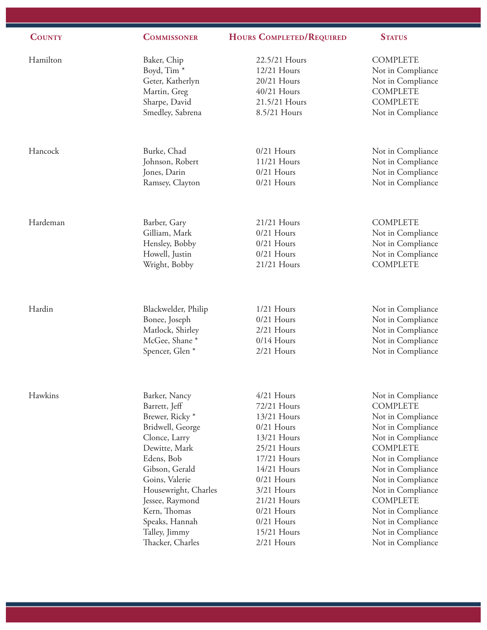| <b>COUNTY</b> | <b>COMMISSONER</b>         | <b>HOURS COMPLETED/REQUIRED</b> | <b>STATUS</b>     |
|---------------|----------------------------|---------------------------------|-------------------|
| Hamilton      | Baker, Chip                | 22.5/21 Hours                   | <b>COMPLETE</b>   |
|               | Boyd, Tim <sup>*</sup>     | 12/21 Hours                     | Not in Compliance |
|               | Geter, Katherlyn           | 20/21 Hours                     | Not in Compliance |
|               | Martin, Greg               | 40/21 Hours                     | <b>COMPLETE</b>   |
|               | Sharpe, David              | 21.5/21 Hours                   | <b>COMPLETE</b>   |
|               | Smedley, Sabrena           | 8.5/21 Hours                    | Not in Compliance |
| Hancock       | Burke, Chad                | $0/21$ Hours                    | Not in Compliance |
|               | Johnson, Robert            | 11/21 Hours                     | Not in Compliance |
|               | Jones, Darin               | $0/21$ Hours                    | Not in Compliance |
|               | Ramsey, Clayton            | $0/21$ Hours                    | Not in Compliance |
| Hardeman      | Barber, Gary               | 21/21 Hours                     | <b>COMPLETE</b>   |
|               | Gilliam, Mark              | $0/21$ Hours                    | Not in Compliance |
|               | Hensley, Bobby             | $0/21$ Hours                    | Not in Compliance |
|               | Howell, Justin             | $0/21$ Hours                    | Not in Compliance |
|               | Wright, Bobby              | 21/21 Hours                     | <b>COMPLETE</b>   |
| Hardin        | Blackwelder, Philip        | $1/21$ Hours                    | Not in Compliance |
|               | Bonee, Joseph              | $0/21$ Hours                    | Not in Compliance |
|               | Matlock, Shirley           | $2/21$ Hours                    | Not in Compliance |
|               | McGee, Shane*              | $0/14$ Hours                    | Not in Compliance |
|               | Spencer, Glen <sup>*</sup> | 2/21 Hours                      | Not in Compliance |
| Hawkins       | Barker, Nancy              | 4/21 Hours                      | Not in Compliance |
|               | Barrett, Jeff              | 72/21 Hours                     | <b>COMPLETE</b>   |
|               | Brewer, Ricky <sup>*</sup> | 13/21 Hours                     | Not in Compliance |
|               | Bridwell, George           | $0/21$ Hours                    | Not in Compliance |
|               | Clonce, Larry              | 13/21 Hours                     | Not in Compliance |
|               | Dewitte, Mark              | 25/21 Hours                     | <b>COMPLETE</b>   |
|               | Edens, Bob                 | 17/21 Hours                     | Not in Compliance |
|               | Gibson, Gerald             | 14/21 Hours                     | Not in Compliance |
|               | Goins, Valerie             | $0/21$ Hours                    | Not in Compliance |
|               | Housewright, Charles       | 3/21 Hours                      | Not in Compliance |
|               | Jessee, Raymond            | 21/21 Hours                     | <b>COMPLETE</b>   |
|               | Kern, Thomas               | $0/21$ Hours                    | Not in Compliance |
|               | Speaks, Hannah             | $0/21$ Hours                    | Not in Compliance |
|               | Talley, Jimmy              | 15/21 Hours                     | Not in Compliance |
|               | Thacker, Charles           | 2/21 Hours                      | Not in Compliance |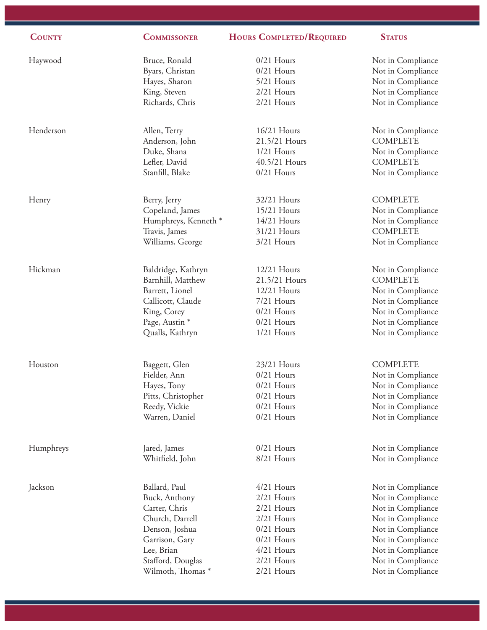| <b>COUNTY</b> | <b>COMMISSONER</b>   | <b>HOURS COMPLETED/REQUIRED</b> | <b>STATUS</b>     |
|---------------|----------------------|---------------------------------|-------------------|
|               |                      |                                 |                   |
| Haywood       | Bruce, Ronald        | $0/21$ Hours                    | Not in Compliance |
|               | Byars, Christan      | $0/21$ Hours                    | Not in Compliance |
|               | Hayes, Sharon        | 5/21 Hours                      | Not in Compliance |
|               | King, Steven         | 2/21 Hours                      | Not in Compliance |
|               | Richards, Chris      | 2/21 Hours                      | Not in Compliance |
| Henderson     | Allen, Terry         | 16/21 Hours                     | Not in Compliance |
|               | Anderson, John       | 21.5/21 Hours                   | <b>COMPLETE</b>   |
|               | Duke, Shana          | $1/21$ Hours                    | Not in Compliance |
|               | Lefler, David        | 40.5/21 Hours                   | <b>COMPLETE</b>   |
|               | Stanfill, Blake      | $0/21$ Hours                    |                   |
|               |                      |                                 | Not in Compliance |
| Henry         | Berry, Jerry         | 32/21 Hours                     | <b>COMPLETE</b>   |
|               | Copeland, James      | 15/21 Hours                     | Not in Compliance |
|               | Humphreys, Kenneth * | 14/21 Hours                     | Not in Compliance |
|               | Travis, James        | 31/21 Hours                     | <b>COMPLETE</b>   |
|               | Williams, George     | 3/21 Hours                      | Not in Compliance |
|               |                      |                                 |                   |
| Hickman       | Baldridge, Kathryn   | 12/21 Hours                     | Not in Compliance |
|               | Barnhill, Matthew    | 21.5/21 Hours                   | <b>COMPLETE</b>   |
|               | Barrett, Lionel      | 12/21 Hours                     | Not in Compliance |
|               | Callicott, Claude    | 7/21 Hours                      | Not in Compliance |
|               | King, Corey          | $0/21$ Hours                    | Not in Compliance |
|               | Page, Austin *       | $0/21$ Hours                    | Not in Compliance |
|               | Qualls, Kathryn      | $1/21$ Hours                    | Not in Compliance |
|               |                      |                                 |                   |
| Houston       | Baggett, Glen        | 23/21 Hours                     | <b>COMPLETE</b>   |
|               | Fielder, Ann         | $0/21$ Hours                    | Not in Compliance |
|               | Hayes, Tony          | $0/21$ Hours                    | Not in Compliance |
|               | Pitts, Christopher   | $0/21$ Hours                    | Not in Compliance |
|               | Reedy, Vickie        | $0/21$ Hours                    | Not in Compliance |
|               | Warren, Daniel       | $0/21$ Hours                    | Not in Compliance |
|               |                      |                                 |                   |
| Humphreys     | Jared, James         | $0/21$ Hours                    | Not in Compliance |
|               | Whitfield, John      | 8/21 Hours                      | Not in Compliance |
| Jackson       | Ballard, Paul        | 4/21 Hours                      | Not in Compliance |
|               | Buck, Anthony        | 2/21 Hours                      | Not in Compliance |
|               | Carter, Chris        | 2/21 Hours                      | Not in Compliance |
|               | Church, Darrell      | 2/21 Hours                      | Not in Compliance |
|               | Denson, Joshua       | $0/21$ Hours                    | Not in Compliance |
|               | Garrison, Gary       | $0/21$ Hours                    | Not in Compliance |
|               | Lee, Brian           | 4/21 Hours                      | Not in Compliance |
|               | Stafford, Douglas    | 2/21 Hours                      | Not in Compliance |
|               | Wilmoth, Thomas *    | 2/21 Hours                      | Not in Compliance |
|               |                      |                                 |                   |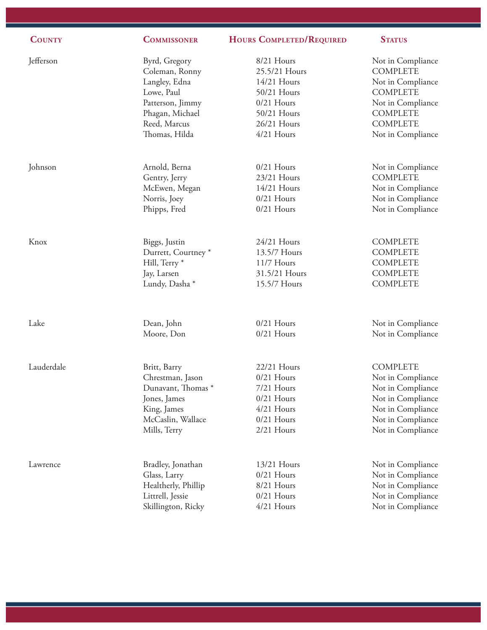| <b>COUNTY</b> | <b>COMMISSONER</b>             | <b>HOURS COMPLETED/REQUIRED</b> | <b>STATUS</b>     |
|---------------|--------------------------------|---------------------------------|-------------------|
| Jefferson     | Byrd, Gregory                  | 8/21 Hours                      | Not in Compliance |
|               | Coleman, Ronny                 | 25.5/21 Hours                   | <b>COMPLETE</b>   |
|               | Langley, Edna                  | 14/21 Hours                     | Not in Compliance |
|               | Lowe, Paul                     | 50/21 Hours                     | <b>COMPLETE</b>   |
|               | Patterson, Jimmy               | $0/21$ Hours                    | Not in Compliance |
|               | Phagan, Michael                | 50/21 Hours                     | <b>COMPLETE</b>   |
|               | Reed, Marcus                   | 26/21 Hours                     | <b>COMPLETE</b>   |
|               | Thomas, Hilda                  | 4/21 Hours                      | Not in Compliance |
| Johnson       | Arnold, Berna                  | $0/21$ Hours                    | Not in Compliance |
|               | Gentry, Jerry                  | 23/21 Hours                     | <b>COMPLETE</b>   |
|               | McEwen, Megan                  | 14/21 Hours                     | Not in Compliance |
|               | Norris, Joey                   | $0/21$ Hours                    | Not in Compliance |
|               | Phipps, Fred                   | $0/21$ Hours                    | Not in Compliance |
| Knox          | Biggs, Justin                  | 24/21 Hours                     | <b>COMPLETE</b>   |
|               | Durrett, Courtney <sup>*</sup> | 13.5/7 Hours                    | <b>COMPLETE</b>   |
|               | Hill, Terry *                  | 11/7 Hours                      | <b>COMPLETE</b>   |
|               | Jay, Larsen                    | 31.5/21 Hours                   | <b>COMPLETE</b>   |
|               | Lundy, Dasha *                 | 15.5/7 Hours                    | <b>COMPLETE</b>   |
| Lake          | Dean, John                     | $0/21$ Hours                    | Not in Compliance |
|               | Moore, Don                     | $0/21$ Hours                    | Not in Compliance |
| Lauderdale    | Britt, Barry                   | 22/21 Hours                     | <b>COMPLETE</b>   |
|               | Chrestman, Jason               | $0/21$ Hours                    | Not in Compliance |
|               | Dunavant, Thomas <sup>*</sup>  | 7/21 Hours                      | Not in Compliance |
|               | Jones, James                   | $0/21$ Hours                    | Not in Compliance |
|               | King, James                    | 4/21 Hours                      | Not in Compliance |
|               | McCaslin, Wallace              | $0/21$ Hours                    | Not in Compliance |
|               | Mills, Terry                   | 2/21 Hours                      | Not in Compliance |
| Lawrence      | Bradley, Jonathan              | 13/21 Hours                     | Not in Compliance |
|               | Glass, Larry                   | $0/21$ Hours                    | Not in Compliance |
|               | Healtherly, Phillip            | 8/21 Hours                      | Not in Compliance |
|               | Littrell, Jessie               | $0/21$ Hours                    | Not in Compliance |
|               | Skillington, Ricky             | 4/21 Hours                      | Not in Compliance |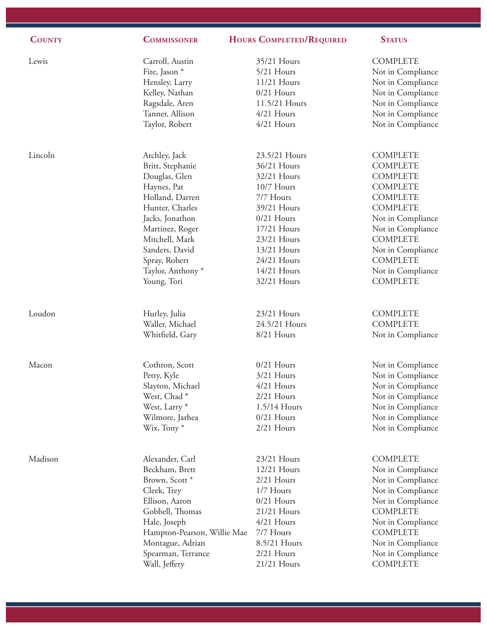| <b>COUNTY</b> | <b>COMMISSONER</b>               | HOURS COMPLETED/REQUIRED  | <b>STATUS</b>                        |
|---------------|----------------------------------|---------------------------|--------------------------------------|
| Lewis         | Carroll, Austin<br>Fite, Jason * | 35/21 Hours<br>5/21 Hours | <b>COMPLETE</b><br>Not in Compliance |
|               | Hensley, Larry                   | 11/21 Hours               | Not in Compliance                    |
|               | Kelley, Nathan                   | $0/21$ Hours              | Not in Compliance                    |
|               | Ragsdale, Aren                   | 11.5/21 Hours             | Not in Compliance                    |
|               | Tanner, Allison                  | $4/21$ Hours              | Not in Compliance                    |
|               | Taylor, Robert                   | 4/21 Hours                | Not in Compliance                    |
| Lincoln       | Atchley, Jack                    | 23.5/21 Hours             | <b>COMPLETE</b>                      |
|               | Britt, Stephanie                 | 36/21 Hours               | <b>COMPLETE</b>                      |
|               | Douglas, Glen                    | 32/21 Hours               | <b>COMPLETE</b>                      |
|               | Haynes, Pat                      | 10/7 Hours                | <b>COMPLETE</b>                      |
|               | Holland, Darren                  | 7/7 Hours                 | <b>COMPLETE</b>                      |
|               | Hunter, Charles                  | 39/21 Hours               | <b>COMPLETE</b>                      |
|               | Jacks, Jonathon                  | $0/21$ Hours              | Not in Compliance                    |
|               | Martinez, Roger                  | 17/21 Hours               | Not in Compliance                    |
|               | Mitchell, Mark                   | 23/21 Hours               | <b>COMPLETE</b>                      |
|               | Sanders, David                   | 13/21 Hours               | Not in Compliance                    |
|               | Spray, Robert                    | 24/21 Hours               | <b>COMPLETE</b>                      |
|               | Taylor, Anthony <sup>*</sup>     | 14/21 Hours               | Not in Compliance                    |
|               | Young, Tori                      | 32/21 Hours               | <b>COMPLETE</b>                      |
| Loudon        | Hurley, Julia                    | 23/21 Hours               | <b>COMPLETE</b>                      |
|               | Waller, Michael                  | 24.5/21 Hours             | <b>COMPLETE</b>                      |
|               | Whitfield, Gary                  | 8/21 Hours                | Not in Compliance                    |
|               |                                  |                           |                                      |
| Macon         | Cothron, Scott                   | $0/21$ Hours              | Not in Compliance                    |
|               | Petty, Kyle                      | 3/21 Hours                | Not in Compliance                    |
|               | Slayton, Michael                 | $4/21$ Hours              | Not in Compliance                    |
|               | West, Chad*                      | $2/21$ Hours              | Not in Compliance                    |
|               | West, Larry <sup>*</sup>         | 1.5/14 Hours              | Not in Compliance                    |
|               | Wilmore, Jarhea                  | $0/21$ Hours              | Not in Compliance                    |
|               | Wix, Tony*                       | 2/21 Hours                | Not in Compliance                    |
| Madison       | Alexander, Carl                  | 23/21 Hours               | <b>COMPLETE</b>                      |
|               | Beckham, Brett                   | 12/21 Hours               | Not in Compliance                    |
|               | Brown, Scott <sup>*</sup>        | 2/21 Hours                | Not in Compliance                    |
|               | Cleek, Trey                      | 1/7 Hours                 | Not in Compliance                    |
|               | Ellison, Aaron                   | $0/21$ Hours              | Not in Compliance                    |
|               | Gobbell, Thomas                  | 21/21 Hours               | <b>COMPLETE</b>                      |
|               | Hale, Joseph                     | 4/21 Hours                | Not in Compliance                    |
|               | Hampton-Pearson, Willie Mae      | 7/7 Hours                 | <b>COMPLETE</b>                      |
|               | Montague, Adrian                 | 8.5/21 Hours              | Not in Compliance                    |
|               | Spearman, Terrance               | 2/21 Hours                | Not in Compliance                    |
|               | Wall, Jeffery                    | 21/21 Hours               | <b>COMPLETE</b>                      |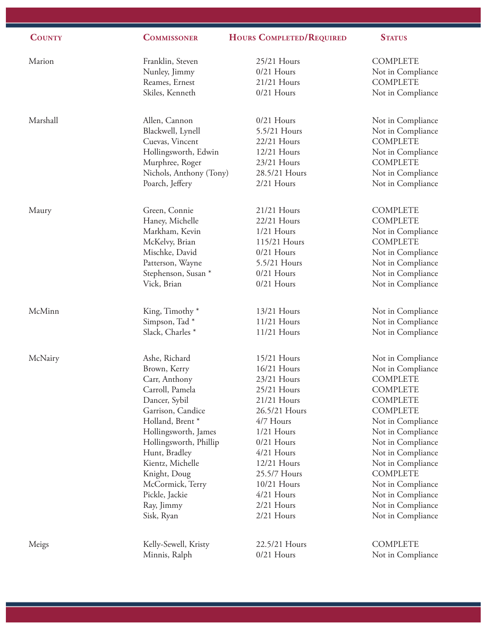| <b>COUNTY</b> | <b>COMMISSONER</b>          | <b>HOURS COMPLETED/REQUIRED</b> | <b>STATUS</b>     |
|---------------|-----------------------------|---------------------------------|-------------------|
| Marion        | Franklin, Steven            | 25/21 Hours                     | <b>COMPLETE</b>   |
|               | Nunley, Jimmy               | $0/21$ Hours                    | Not in Compliance |
|               | Reames, Ernest              | 21/21 Hours                     | <b>COMPLETE</b>   |
|               | Skiles, Kenneth             | $0/21$ Hours                    | Not in Compliance |
|               |                             |                                 |                   |
| Marshall      | Allen, Cannon               | $0/21$ Hours                    | Not in Compliance |
|               | Blackwell, Lynell           | 5.5/21 Hours                    | Not in Compliance |
|               | Cuevas, Vincent             | 22/21 Hours                     | <b>COMPLETE</b>   |
|               | Hollingsworth, Edwin        | 12/21 Hours                     | Not in Compliance |
|               | Murphree, Roger             | 23/21 Hours                     | <b>COMPLETE</b>   |
|               | Nichols, Anthony (Tony)     | 28.5/21 Hours                   | Not in Compliance |
|               | Poarch, Jeffery             | 2/21 Hours                      | Not in Compliance |
| Maury         | Green, Connie               | 21/21 Hours                     | <b>COMPLETE</b>   |
|               | Haney, Michelle             | 22/21 Hours                     | <b>COMPLETE</b>   |
|               | Markham, Kevin              | $1/21$ Hours                    | Not in Compliance |
|               | McKelvy, Brian              | 115/21 Hours                    | <b>COMPLETE</b>   |
|               | Mischke, David              | $0/21$ Hours                    | Not in Compliance |
|               | Patterson, Wayne            | 5.5/21 Hours                    | Not in Compliance |
|               | Stephenson, Susan *         | $0/21$ Hours                    | Not in Compliance |
|               | Vick, Brian                 | $0/21$ Hours                    | Not in Compliance |
|               |                             |                                 |                   |
| McMinn        | King, Timothy*              | 13/21 Hours                     | Not in Compliance |
|               | Simpson, Tad*               | 11/21 Hours                     | Not in Compliance |
|               | Slack, Charles <sup>*</sup> | 11/21 Hours                     | Not in Compliance |
| McNairy       | Ashe, Richard               | 15/21 Hours                     | Not in Compliance |
|               | Brown, Kerry                | 16/21 Hours                     | Not in Compliance |
|               | Carr, Anthony               | 23/21 Hours                     | <b>COMPLETE</b>   |
|               | Carroll, Pamela             | 25/21 Hours                     | <b>COMPLETE</b>   |
|               | Dancer, Sybil               | 21/21 Hours                     | <b>COMPLETE</b>   |
|               | Garrison, Candice           | 26.5/21 Hours                   | <b>COMPLETE</b>   |
|               | Holland, Brent*             | 4/7 Hours                       | Not in Compliance |
|               | Hollingsworth, James        | $1/21$ Hours                    | Not in Compliance |
|               | Hollingsworth, Phillip      | $0/21$ Hours                    | Not in Compliance |
|               | Hunt, Bradley               | 4/21 Hours                      | Not in Compliance |
|               | Kientz, Michelle            | 12/21 Hours                     | Not in Compliance |
|               | Knight, Doug                | 25.5/7 Hours                    | <b>COMPLETE</b>   |
|               | McCormick, Terry            | 10/21 Hours                     | Not in Compliance |
|               | Pickle, Jackie              | 4/21 Hours                      | Not in Compliance |
|               | Ray, Jimmy                  | 2/21 Hours                      | Not in Compliance |
|               | Sisk, Ryan                  | 2/21 Hours                      | Not in Compliance |
| Meigs         | Kelly-Sewell, Kristy        | 22.5/21 Hours                   | <b>COMPLETE</b>   |
|               | Minnis, Ralph               | $0/21$ Hours                    | Not in Compliance |
|               |                             |                                 |                   |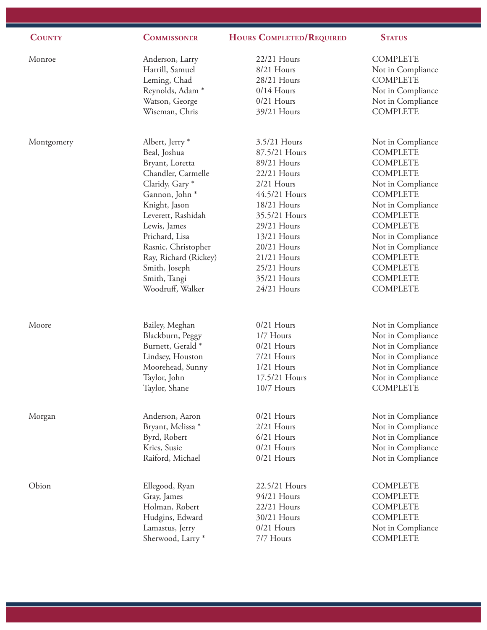| <b>COUNTY</b> | <b>COMMISSONER</b>           | <b>HOURS COMPLETED/REQUIRED</b> | <b>STATUS</b>     |
|---------------|------------------------------|---------------------------------|-------------------|
| Monroe        | Anderson, Larry              | 22/21 Hours                     | <b>COMPLETE</b>   |
|               | Harrill, Samuel              | 8/21 Hours                      | Not in Compliance |
|               | Leming, Chad                 | 28/21 Hours                     | <b>COMPLETE</b>   |
|               | Reynolds, Adam <sup>*</sup>  | $0/14$ Hours                    | Not in Compliance |
|               | Watson, George               | $0/21$ Hours                    | Not in Compliance |
|               | Wiseman, Chris               | 39/21 Hours                     | <b>COMPLETE</b>   |
| Montgomery    | Albert, Jerry <sup>*</sup>   | 3.5/21 Hours                    | Not in Compliance |
|               | Beal, Joshua                 | 87.5/21 Hours                   | <b>COMPLETE</b>   |
|               | Bryant, Loretta              | 89/21 Hours                     | <b>COMPLETE</b>   |
|               | Chandler, Carmelle           | 22/21 Hours                     | <b>COMPLETE</b>   |
|               | Claridy, Gary*               | 2/21 Hours                      | Not in Compliance |
|               | Gannon, John *               | 44.5/21 Hours                   | <b>COMPLETE</b>   |
|               | Knight, Jason                | 18/21 Hours                     | Not in Compliance |
|               | Leverett, Rashidah           | 35.5/21 Hours                   | <b>COMPLETE</b>   |
|               | Lewis, James                 | 29/21 Hours                     | <b>COMPLETE</b>   |
|               | Prichard, Lisa               | 13/21 Hours                     | Not in Compliance |
|               | Rasnic, Christopher          | 20/21 Hours                     | Not in Compliance |
|               | Ray, Richard (Rickey)        | 21/21 Hours                     | <b>COMPLETE</b>   |
|               | Smith, Joseph                | 25/21 Hours                     | <b>COMPLETE</b>   |
|               | Smith, Tangi                 | 35/21 Hours                     | <b>COMPLETE</b>   |
|               | Woodruff, Walker             | 24/21 Hours                     | <b>COMPLETE</b>   |
| Moore         | Bailey, Meghan               | $0/21$ Hours                    | Not in Compliance |
|               | Blackburn, Peggy             | 1/7 Hours                       | Not in Compliance |
|               | Burnett, Gerald <sup>*</sup> | $0/21$ Hours                    | Not in Compliance |
|               | Lindsey, Houston             | 7/21 Hours                      | Not in Compliance |
|               | Moorehead, Sunny             | $1/21$ Hours                    | Not in Compliance |
|               | Taylor, John                 | 17.5/21 Hours                   | Not in Compliance |
|               | Taylor, Shane                | 10/7 Hours                      | <b>COMPLETE</b>   |
| Morgan        | Anderson, Aaron              | $0/21$ Hours                    | Not in Compliance |
|               | Bryant, Melissa *            | 2/21 Hours                      | Not in Compliance |
|               | Byrd, Robert                 | 6/21 Hours                      | Not in Compliance |
|               | Kries, Susie                 | $0/21$ Hours                    | Not in Compliance |
|               | Raiford, Michael             | $0/21$ Hours                    | Not in Compliance |
| Obion         | Ellegood, Ryan               | 22.5/21 Hours                   | <b>COMPLETE</b>   |
|               | Gray, James                  | 94/21 Hours                     | <b>COMPLETE</b>   |
|               | Holman, Robert               | 22/21 Hours                     | <b>COMPLETE</b>   |
|               | Hudgins, Edward              | 30/21 Hours                     | <b>COMPLETE</b>   |
|               | Lamastus, Jerry              | $0/21$ Hours                    | Not in Compliance |
|               | Sherwood, Larry *            | 7/7 Hours                       | <b>COMPLETE</b>   |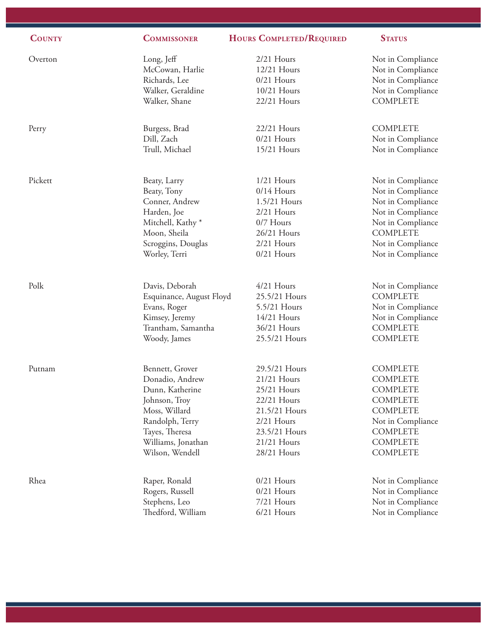| <b>COUNTY</b> | <b>COMMISSONER</b>           | <b>HOURS COMPLETED/REQUIRED</b> | <b>STATUS</b>     |
|---------------|------------------------------|---------------------------------|-------------------|
| Overton       | Long, Jeff                   | 2/21 Hours                      | Not in Compliance |
|               | McCowan, Harlie              | 12/21 Hours                     | Not in Compliance |
|               | Richards, Lee                | $0/21$ Hours                    | Not in Compliance |
|               | Walker, Geraldine            | 10/21 Hours                     | Not in Compliance |
|               | Walker, Shane                | 22/21 Hours                     | <b>COMPLETE</b>   |
| Perry         | Burgess, Brad                | 22/21 Hours                     | <b>COMPLETE</b>   |
|               | Dill, Zach                   | $0/21$ Hours                    | Not in Compliance |
|               | Trull, Michael               | 15/21 Hours                     | Not in Compliance |
| Pickett       | Beaty, Larry                 | $1/21$ Hours                    | Not in Compliance |
|               | Beaty, Tony                  | $0/14$ Hours                    | Not in Compliance |
|               | Conner, Andrew               | 1.5/21 Hours                    | Not in Compliance |
|               | Harden, Joe                  | $2/21$ Hours                    | Not in Compliance |
|               | Mitchell, Kathy <sup>*</sup> | 0/7 Hours                       | Not in Compliance |
|               | Moon, Sheila                 | 26/21 Hours                     | <b>COMPLETE</b>   |
|               | Scroggins, Douglas           | 2/21 Hours                      | Not in Compliance |
|               | Worley, Terri                | $0/21$ Hours                    | Not in Compliance |
| Polk          | Davis, Deborah               | 4/21 Hours                      | Not in Compliance |
|               | Esquinance, August Floyd     | 25.5/21 Hours                   | <b>COMPLETE</b>   |
|               | Evans, Roger                 | 5.5/21 Hours                    | Not in Compliance |
|               | Kimsey, Jeremy               | 14/21 Hours                     | Not in Compliance |
|               | Trantham, Samantha           | 36/21 Hours                     | <b>COMPLETE</b>   |
|               | Woody, James                 | 25.5/21 Hours                   | <b>COMPLETE</b>   |
| Putnam        | Bennett, Grover              | 29.5/21 Hours                   | <b>COMPLETE</b>   |
|               | Donadio, Andrew              | 21/21 Hours                     | <b>COMPLETE</b>   |
|               | Dunn, Katherine              | 25/21 Hours                     | <b>COMPLETE</b>   |
|               | Johnson, Troy                | 22/21 Hours                     | <b>COMPLETE</b>   |
|               | Moss, Willard                | 21.5/21 Hours                   | <b>COMPLETE</b>   |
|               | Randolph, Terry              | 2/21 Hours                      | Not in Compliance |
|               | Tayes, Theresa               | 23.5/21 Hours                   | <b>COMPLETE</b>   |
|               | Williams, Jonathan           | 21/21 Hours                     | <b>COMPLETE</b>   |
|               | Wilson, Wendell              | 28/21 Hours                     | <b>COMPLETE</b>   |
| Rhea          | Raper, Ronald                | $0/21$ Hours                    | Not in Compliance |
|               | Rogers, Russell              | $0/21$ Hours                    | Not in Compliance |
|               | Stephens, Leo                | 7/21 Hours                      | Not in Compliance |
|               | Thedford, William            | 6/21 Hours                      | Not in Compliance |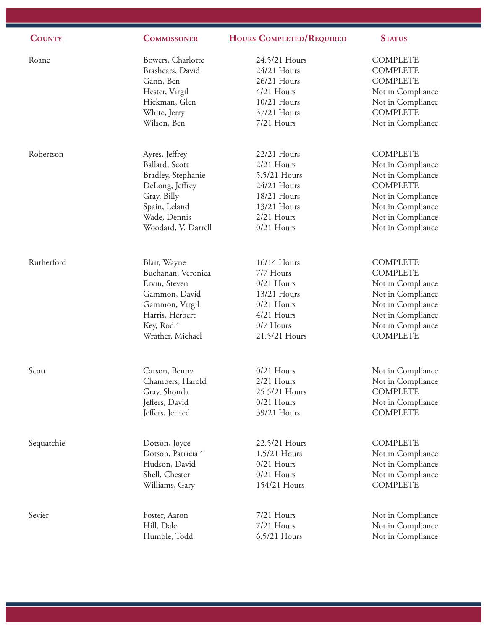| <b>COUNTY</b> | <b>COMMISSONER</b>    | <b>HOURS COMPLETED/REQUIRED</b> | <b>STATUS</b>     |
|---------------|-----------------------|---------------------------------|-------------------|
| Roane         | Bowers, Charlotte     | 24.5/21 Hours                   | <b>COMPLETE</b>   |
|               | Brashears, David      | 24/21 Hours                     | <b>COMPLETE</b>   |
|               | Gann, Ben             | 26/21 Hours                     | <b>COMPLETE</b>   |
|               | Hester, Virgil        | $4/21$ Hours                    | Not in Compliance |
|               | Hickman, Glen         | 10/21 Hours                     | Not in Compliance |
|               | White, Jerry          | 37/21 Hours                     | <b>COMPLETE</b>   |
|               | Wilson, Ben           | 7/21 Hours                      | Not in Compliance |
| Robertson     | Ayres, Jeffrey        | 22/21 Hours                     | <b>COMPLETE</b>   |
|               | Ballard, Scott        | $2/21$ Hours                    | Not in Compliance |
|               | Bradley, Stephanie    | 5.5/21 Hours                    | Not in Compliance |
|               | DeLong, Jeffrey       | 24/21 Hours                     | <b>COMPLETE</b>   |
|               | Gray, Billy           | 18/21 Hours                     | Not in Compliance |
|               | Spain, Leland         | 13/21 Hours                     | Not in Compliance |
|               | Wade, Dennis          | $2/21$ Hours                    | Not in Compliance |
|               | Woodard, V. Darrell   | $0/21$ Hours                    | Not in Compliance |
| Rutherford    | Blair, Wayne          | 16/14 Hours                     | <b>COMPLETE</b>   |
|               | Buchanan, Veronica    | 7/7 Hours                       | <b>COMPLETE</b>   |
|               | Ervin, Steven         | $0/21$ Hours                    | Not in Compliance |
|               | Gammon, David         | 13/21 Hours                     | Not in Compliance |
|               | Gammon, Virgil        | $0/21$ Hours                    | Not in Compliance |
|               | Harris, Herbert       | 4/21 Hours                      | Not in Compliance |
|               | Key, Rod <sup>*</sup> | 0/7 Hours                       | Not in Compliance |
|               | Wrather, Michael      | 21.5/21 Hours                   | <b>COMPLETE</b>   |
| Scott         | Carson, Benny         | $0/21$ Hours                    | Not in Compliance |
|               | Chambers, Harold      | $2/21$ Hours                    | Not in Compliance |
|               | Gray, Shonda          | 25.5/21 Hours                   | <b>COMPLETE</b>   |
|               | Jeffers, David        | $0/21$ Hours                    | Not in Compliance |
|               | Jeffers, Jerried      | 39/21 Hours                     | <b>COMPLETE</b>   |
| Sequatchie    | Dotson, Joyce         | 22.5/21 Hours                   | <b>COMPLETE</b>   |
|               | Dotson, Patricia *    | 1.5/21 Hours                    | Not in Compliance |
|               | Hudson, David         | $0/21$ Hours                    | Not in Compliance |
|               | Shell, Chester        | $0/21$ Hours                    | Not in Compliance |
|               | Williams, Gary        | 154/21 Hours                    | <b>COMPLETE</b>   |
| Sevier        | Foster, Aaron         | 7/21 Hours                      | Not in Compliance |
|               | Hill, Dale            | 7/21 Hours                      | Not in Compliance |
|               | Humble, Todd          | 6.5/21 Hours                    | Not in Compliance |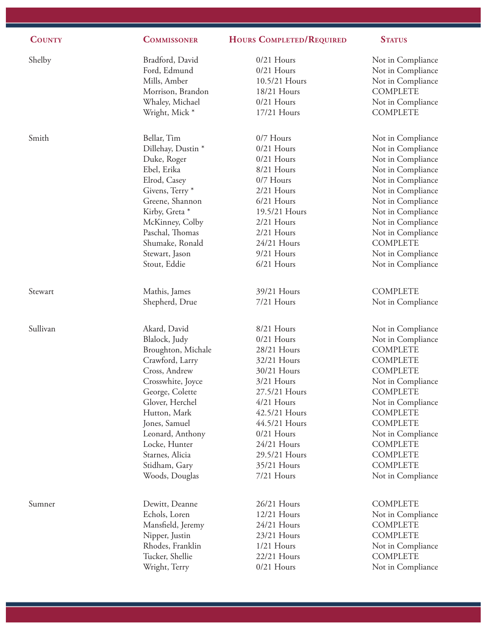| <b>COUNTY</b> | <b>COMMISSONER</b>         | <b>HOURS COMPLETED/REQUIRED</b> | <b>STATUS</b>     |
|---------------|----------------------------|---------------------------------|-------------------|
| Shelby        | Bradford, David            | $0/21$ Hours                    | Not in Compliance |
|               | Ford, Edmund               | $0/21$ Hours                    | Not in Compliance |
|               | Mills, Amber               | 10.5/21 Hours                   | Not in Compliance |
|               | Morrison, Brandon          | 18/21 Hours                     | <b>COMPLETE</b>   |
|               | Whaley, Michael            | $0/21$ Hours                    | Not in Compliance |
|               | Wright, Mick*              | 17/21 Hours                     | <b>COMPLETE</b>   |
| Smith         | Bellar, Tim                | 0/7 Hours                       | Not in Compliance |
|               | Dillehay, Dustin*          | $0/21$ Hours                    | Not in Compliance |
|               | Duke, Roger                | $0/21$ Hours                    | Not in Compliance |
|               | Ebel, Erika                | 8/21 Hours                      | Not in Compliance |
|               | Elrod, Casey               | 0/7 Hours                       | Not in Compliance |
|               | Givens, Terry <sup>*</sup> | $2/21$ Hours                    | Not in Compliance |
|               | Greene, Shannon            | $6/21$ Hours                    | Not in Compliance |
|               | Kirby, Greta *             | 19.5/21 Hours                   | Not in Compliance |
|               | McKinney, Colby            | $2/21$ Hours                    | Not in Compliance |
|               | Paschal, Thomas            | 2/21 Hours                      | Not in Compliance |
|               | Shumake, Ronald            | 24/21 Hours                     | <b>COMPLETE</b>   |
|               | Stewart, Jason             | 9/21 Hours                      | Not in Compliance |
|               | Stout, Eddie               | 6/21 Hours                      | Not in Compliance |
| Stewart       | Mathis, James              | 39/21 Hours                     | <b>COMPLETE</b>   |
|               | Shepherd, Drue             | 7/21 Hours                      | Not in Compliance |
| Sullivan      | Akard, David               | 8/21 Hours                      | Not in Compliance |
|               | Blalock, Judy              | $0/21$ Hours                    | Not in Compliance |
|               | Broughton, Michale         | 28/21 Hours                     | <b>COMPLETE</b>   |
|               | Crawford, Larry            | 32/21 Hours                     | <b>COMPLETE</b>   |
|               | Cross, Andrew              | 30/21 Hours                     | <b>COMPLETE</b>   |
|               | Crosswhite, Joyce          | 3/21 Hours                      | Not in Compliance |
|               | George, Colette            | 27.5/21 Hours                   | <b>COMPLETE</b>   |
|               | Glover, Herchel            | $4/21$ Hours                    | Not in Compliance |
|               | Hutton, Mark               | 42.5/21 Hours                   | <b>COMPLETE</b>   |
|               | Jones, Samuel              | 44.5/21 Hours                   | <b>COMPLETE</b>   |
|               | Leonard, Anthony           | $0/21$ Hours                    | Not in Compliance |
|               | Locke, Hunter              | 24/21 Hours                     | <b>COMPLETE</b>   |
|               | Starnes, Alicia            | 29.5/21 Hours                   | <b>COMPLETE</b>   |
|               | Stidham, Gary              | 35/21 Hours                     | <b>COMPLETE</b>   |
|               | Woods, Douglas             | 7/21 Hours                      | Not in Compliance |
| Sumner        | Dewitt, Deanne             | 26/21 Hours                     | <b>COMPLETE</b>   |
|               | Echols, Loren              | 12/21 Hours                     | Not in Compliance |
|               | Mansfield, Jeremy          | 24/21 Hours                     | <b>COMPLETE</b>   |
|               | Nipper, Justin             | 23/21 Hours                     | <b>COMPLETE</b>   |
|               | Rhodes, Franklin           | $1/21$ Hours                    | Not in Compliance |
|               | Tucker, Shellie            | 22/21 Hours                     | <b>COMPLETE</b>   |
|               | Wright, Terry              | $0/21$ Hours                    | Not in Compliance |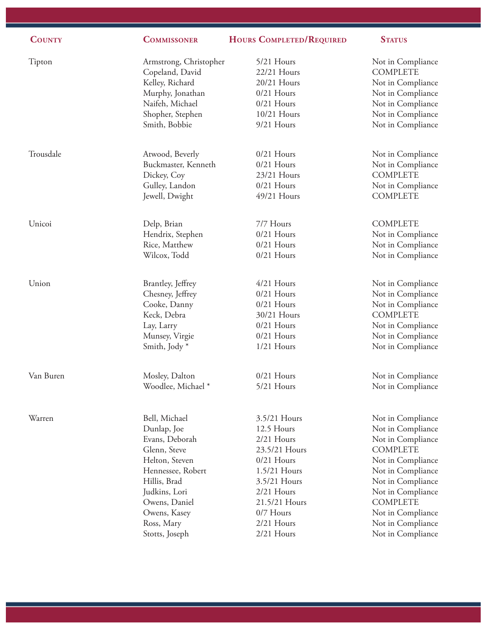| <b>COUNTY</b> | <b>COMMISSONER</b>                        | <b>HOURS COMPLETED/REQUIRED</b> | <b>STATUS</b>                        |
|---------------|-------------------------------------------|---------------------------------|--------------------------------------|
| Tipton        | Armstrong, Christopher<br>Copeland, David | 5/21 Hours<br>22/21 Hours       | Not in Compliance<br><b>COMPLETE</b> |
|               | Kelley, Richard                           | 20/21 Hours                     | Not in Compliance                    |
|               | Murphy, Jonathan                          | $0/21$ Hours                    | Not in Compliance                    |
|               | Naifeh, Michael                           | $0/21$ Hours                    | Not in Compliance                    |
|               | Shopher, Stephen                          | 10/21 Hours                     | Not in Compliance                    |
|               | Smith, Bobbie                             | 9/21 Hours                      | Not in Compliance                    |
| Trousdale     | Atwood, Beverly                           | $0/21$ Hours                    | Not in Compliance                    |
|               | Buckmaster, Kenneth                       | $0/21$ Hours                    | Not in Compliance                    |
|               | Dickey, Coy                               | 23/21 Hours                     | <b>COMPLETE</b>                      |
|               | Gulley, Landon                            | $0/21$ Hours                    | Not in Compliance                    |
|               | Jewell, Dwight                            | 49/21 Hours                     | <b>COMPLETE</b>                      |
| Unicoi        | Delp, Brian                               | 7/7 Hours                       | <b>COMPLETE</b>                      |
|               | Hendrix, Stephen                          | $0/21$ Hours                    | Not in Compliance                    |
|               | Rice, Matthew                             | $0/21$ Hours                    | Not in Compliance                    |
|               | Wilcox, Todd                              | $0/21$ Hours                    | Not in Compliance                    |
| Union         | Brantley, Jeffrey                         | $4/21$ Hours                    | Not in Compliance                    |
|               | Chesney, Jeffrey                          | $0/21$ Hours                    | Not in Compliance                    |
|               | Cooke, Danny                              | $0/21$ Hours                    | Not in Compliance                    |
|               | Keck, Debra                               | 30/21 Hours                     | <b>COMPLETE</b>                      |
|               | Lay, Larry                                | $0/21$ Hours                    | Not in Compliance                    |
|               | Munsey, Virgie                            | $0/21$ Hours                    | Not in Compliance                    |
|               | Smith, Jody*                              | $1/21$ Hours                    | Not in Compliance                    |
| Van Buren     | Mosley, Dalton                            | $0/21$ Hours                    | Not in Compliance                    |
|               | Woodlee, Michael *                        | 5/21 Hours                      | Not in Compliance                    |
|               |                                           |                                 |                                      |
| Warren        | Bell, Michael                             | 3.5/21 Hours                    | Not in Compliance                    |
|               | Dunlap, Joe<br>Evans, Deborah             | 12.5 Hours<br>2/21 Hours        | Not in Compliance                    |
|               | Glenn, Steve                              | 23.5/21 Hours                   | Not in Compliance<br><b>COMPLETE</b> |
|               | Helton, Steven                            | $0/21$ Hours                    | Not in Compliance                    |
|               | Hennessee, Robert                         | 1.5/21 Hours                    | Not in Compliance                    |
|               | Hillis, Brad                              | 3.5/21 Hours                    | Not in Compliance                    |
|               | Judkins, Lori                             | 2/21 Hours                      | Not in Compliance                    |
|               | Owens, Daniel                             | 21.5/21 Hours                   | <b>COMPLETE</b>                      |
|               | Owens, Kasey                              | 0/7 Hours                       | Not in Compliance                    |
|               | Ross, Mary                                | 2/21 Hours                      | Not in Compliance                    |
|               | Stotts, Joseph                            | 2/21 Hours                      | Not in Compliance                    |
|               |                                           |                                 |                                      |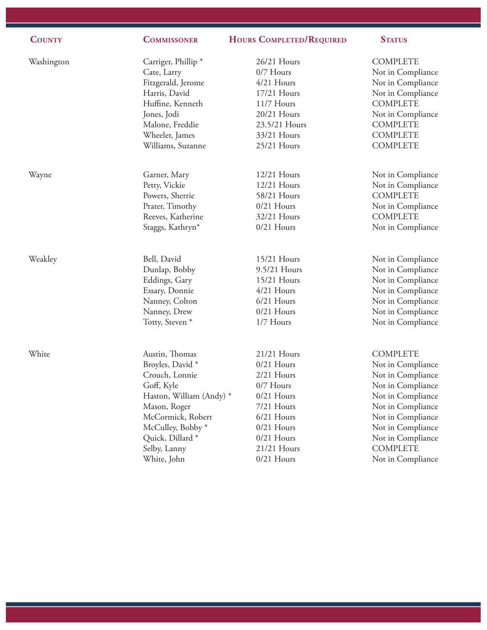| <b>COUNTY</b> | <b>COMMISSONER</b>             | HOURS COMPLETED/REQUIRED | <b>STATUS</b>     |
|---------------|--------------------------------|--------------------------|-------------------|
| Washington    | Carriger, Phillip <sup>*</sup> | 26/21 Hours              | <b>COMPLETE</b>   |
|               | Cate, Larry                    | 0/7 Hours                | Not in Compliance |
|               | Fitzgerald, Jerome             | 4/21 Hours               | Not in Compliance |
|               | Harris, David                  | 17/21 Hours              | Not in Compliance |
|               | Huffine, Kenneth               | 11/7 Hours               | <b>COMPLETE</b>   |
|               | Jones, Jodi                    | 20/21 Hours              | Not in Compliance |
|               | Malone, Freddie                | 23.5/21 Hours            | <b>COMPLETE</b>   |
|               | Wheeler, James                 | 33/21 Hours              | <b>COMPLETE</b>   |
|               | Williams, Suzanne              | 25/21 Hours              | <b>COMPLETE</b>   |
| Wayne         | Garner, Mary                   | 12/21 Hours              | Not in Compliance |
|               | Petty, Vickie                  | 12/21 Hours              | Not in Compliance |
|               | Powers, Sherrie                | 58/21 Hours              | <b>COMPLETE</b>   |
|               | Prater, Timothy                | $0/21$ Hours             | Not in Compliance |
|               | Reeves, Katherine              | 32/21 Hours              | <b>COMPLETE</b>   |
|               | Staggs, Kathryn*               | $0/21$ Hours             | Not in Compliance |
| Weakley       | Bell, David                    | 15/21 Hours              | Not in Compliance |
|               | Dunlap, Bobby                  | 9.5/21 Hours             | Not in Compliance |
|               | Eddings, Gary                  | 15/21 Hours              | Not in Compliance |
|               | Essary, Donnie                 | 4/21 Hours               | Not in Compliance |
|               | Nanney, Colton                 | 6/21 Hours               | Not in Compliance |
|               | Nanney, Drew                   | $0/21$ Hours             | Not in Compliance |
|               | Totty, Steven <sup>*</sup>     | 1/7 Hours                | Not in Compliance |
| White         | Austin, Thomas                 | 21/21 Hours              | <b>COMPLETE</b>   |
|               | Broyles, David *               | $0/21$ Hours             | Not in Compliance |
|               | Crouch, Lonnie                 | $2/21$ Hours             | Not in Compliance |
|               | Goff, Kyle                     | $0/7$ Hours              | Not in Compliance |
|               | Haston, William (Andy) *       | $0/21$ Hours             | Not in Compliance |
|               | Mason, Roger                   | 7/21 Hours               | Not in Compliance |
|               | McCormick, Robert              | 6/21 Hours               | Not in Compliance |
|               | McCulley, Bobby <sup>*</sup>   | $0/21$ Hours             | Not in Compliance |
|               | Quick, Dillard <sup>*</sup>    | $0/21$ Hours             | Not in Compliance |
|               | Selby, Lanny                   | 21/21 Hours              | <b>COMPLETE</b>   |
|               | White, John                    | $0/21$ Hours             | Not in Compliance |